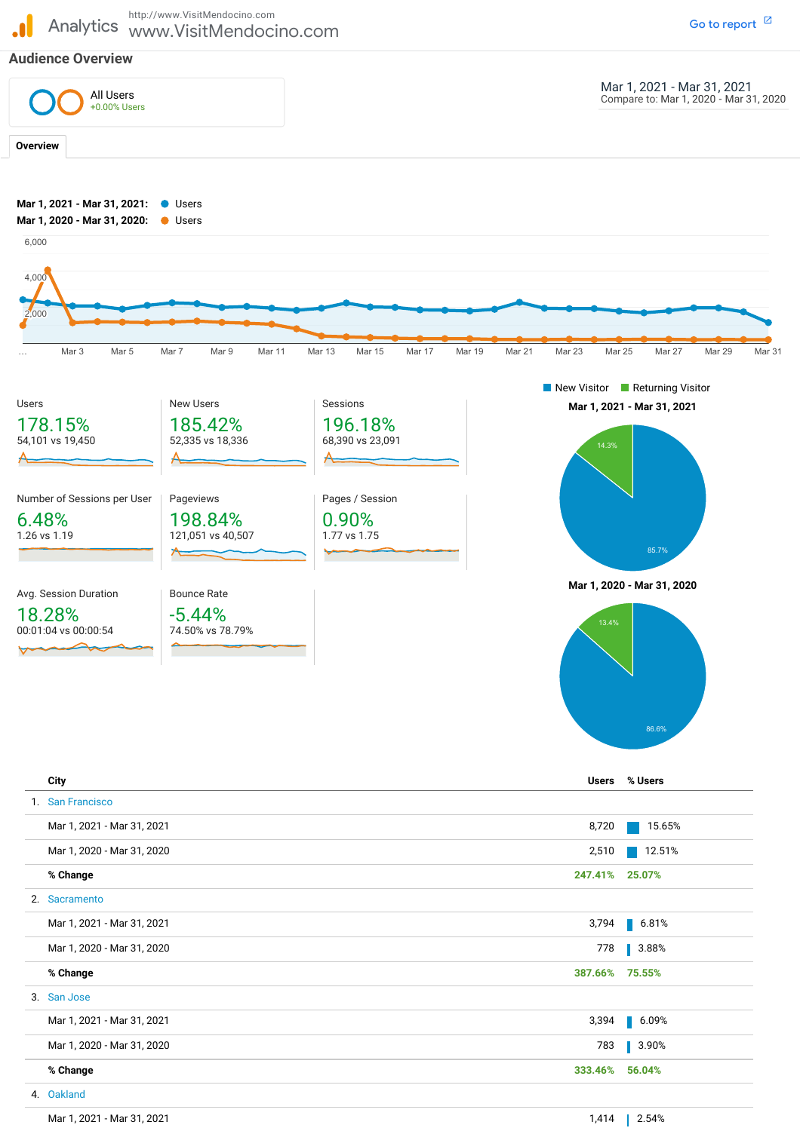Analytics www.VisitMendocino.com http://www.VisitMendocino.com

## **Audience Overview**